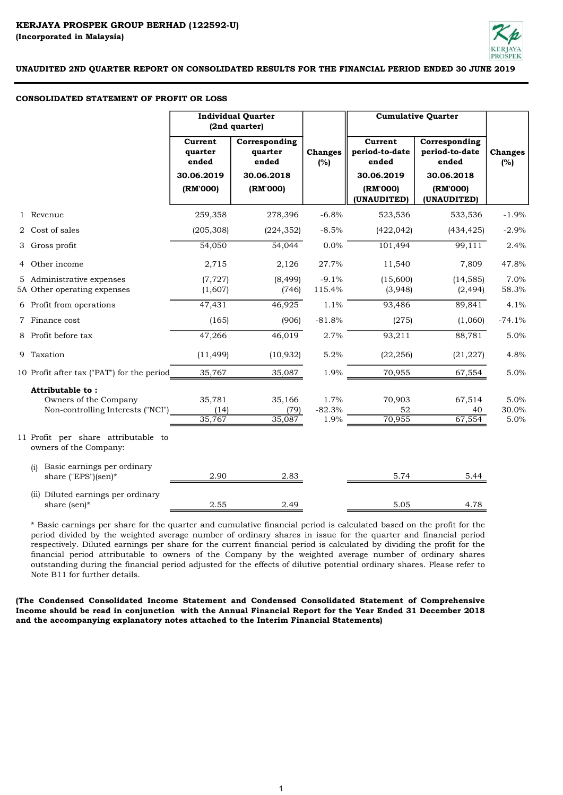

#### CONSOLIDATED STATEMENT OF PROFIT OR LOSS

|                                                                                | <b>Individual Quarter</b><br>(2nd quarter)       |                                                 |                          | <b>Cumulative Quarter</b>                        |                                                        |                       |
|--------------------------------------------------------------------------------|--------------------------------------------------|-------------------------------------------------|--------------------------|--------------------------------------------------|--------------------------------------------------------|-----------------------|
|                                                                                | <b>Current</b><br>quarter<br>ended<br>30.06.2019 | Corresponding<br>quarter<br>ended<br>30.06.2018 | <b>Changes</b><br>(%)    | Current<br>period-to-date<br>ended<br>30.06.2019 | Corresponding<br>period-to-date<br>ended<br>30.06.2018 | <b>Changes</b><br>(%) |
|                                                                                | (RM'000)                                         | (RM'000)                                        |                          | (RM'000)<br>(UNAUDITED)                          | (RM'000)<br>(UNAUDITED)                                |                       |
| 1 Revenue                                                                      | 259,358                                          | 278,396                                         | $-6.8%$                  | 523,536                                          | 533,536                                                | $-1.9%$               |
| 2 Cost of sales                                                                | (205, 308)                                       | (224, 352)                                      | $-8.5%$                  | (422, 042)                                       | (434, 425)                                             | $-2.9%$               |
| 3 Gross profit                                                                 | 54,050                                           | 54,044                                          | 0.0%                     | 101,494                                          | 99,111                                                 | 2.4%                  |
| 4 Other income                                                                 | 2,715                                            | 2,126                                           | 27.7%                    | 11,540                                           | 7,809                                                  | 47.8%                 |
| 5 Administrative expenses<br>5A Other operating expenses                       | (7, 727)<br>(1,607)                              | (8, 499)<br>(746)                               | $-9.1%$<br>115.4%        | (15,600)<br>(3,948)                              | (14, 585)<br>(2, 494)                                  | 7.0%<br>58.3%         |
| 6 Profit from operations                                                       | 47,431                                           | 46,925                                          | 1.1%                     | 93,486                                           | 89,841                                                 | 4.1%                  |
| 7 Finance cost                                                                 | (165)                                            | (906)                                           | $-81.8%$                 | (275)                                            | (1,060)                                                | $-74.1%$              |
| 8 Profit before tax                                                            | 47,266                                           | 46,019                                          | 2.7%                     | 93,211                                           | 88,781                                                 | 5.0%                  |
| 9 Taxation                                                                     | (11, 499)                                        | (10, 932)                                       | 5.2%                     | (22, 256)                                        | (21, 227)                                              | 4.8%                  |
| 10 Profit after tax ("PAT") for the period                                     | 35,767                                           | 35,087                                          | 1.9%                     | 70,955                                           | 67,554                                                 | 5.0%                  |
| Attributable to:<br>Owners of the Company<br>Non-controlling Interests ("NCI") | 35,781<br>(14)<br>35,767                         | 35,166<br>(79)<br>35,087                        | 1.7%<br>$-82.3%$<br>1.9% | 70,903<br>52<br>70,955                           | 67,514<br>40<br>67,554                                 | 5.0%<br>30.0%<br>5.0% |
| 11 Profit per share attributable to<br>owners of the Company:                  |                                                  |                                                 |                          |                                                  |                                                        |                       |
| Basic earnings per ordinary<br>(i)<br>share ("EPS")(sen)*                      | 2.90                                             | 2.83                                            |                          | 5.74                                             | 5.44                                                   |                       |
| (ii) Diluted earnings per ordinary<br>share (sen)*                             | 2.55                                             | 2.49                                            |                          | 5.05                                             | 4.78                                                   |                       |

\* Basic earnings per share for the quarter and cumulative financial period is calculated based on the profit for the period divided by the weighted average number of ordinary shares in issue for the quarter and financial period respectively. Diluted earnings per share for the current financial period is calculated by dividing the profit for the financial period attributable to owners of the Company by the weighted average number of ordinary shares outstanding during the financial period adjusted for the effects of dilutive potential ordinary shares. Please refer to Note B11 for further details.

(The Condensed Consolidated Income Statement and Condensed Consolidated Statement of Comprehensive Income should be read in conjunction with the Annual Financial Report for the Year Ended 31 December 2018 and the accompanying explanatory notes attached to the Interim Financial Statements)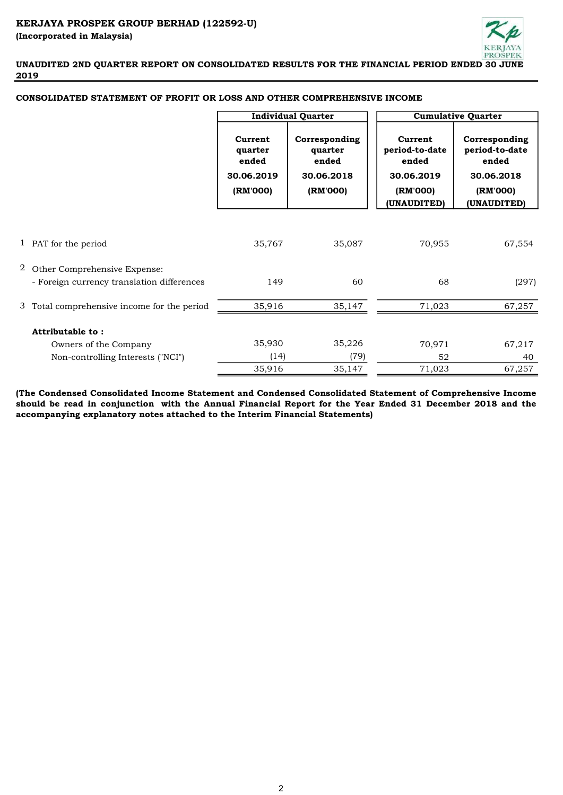

|   |                                                                            |                                                                                              | <b>Individual Quarter</b> | <b>Cumulative Quarter</b>                        |                                                        |  |  |
|---|----------------------------------------------------------------------------|----------------------------------------------------------------------------------------------|---------------------------|--------------------------------------------------|--------------------------------------------------------|--|--|
|   |                                                                            | Corresponding<br>Current<br>quarter<br>quarter<br>ended<br>ended<br>30.06.2019<br>30.06.2018 |                           | Current<br>period-to-date<br>ended<br>30.06.2019 | Corresponding<br>period-to-date<br>ended<br>30.06.2018 |  |  |
|   |                                                                            | (RM'000)                                                                                     | (RM'000)                  | (RM'000)<br>(UNAUDITED)                          | (RM'000)<br>(UNAUDITED)                                |  |  |
|   | 1 PAT for the period                                                       | 35,767                                                                                       | 35,087                    | 70,955                                           | 67,554                                                 |  |  |
| 2 | Other Comprehensive Expense:<br>- Foreign currency translation differences | 149                                                                                          | 60                        | 68                                               | (297)                                                  |  |  |
|   | 3 Total comprehensive income for the period                                | 35,916                                                                                       | 35,147                    | 71,023                                           | 67,257                                                 |  |  |
|   | Attributable to:                                                           |                                                                                              |                           |                                                  |                                                        |  |  |
|   | Owners of the Company                                                      | 35,930                                                                                       | 35,226                    | 70,971                                           | 67,217                                                 |  |  |
|   | Non-controlling Interests ("NCI")                                          | (14)                                                                                         | (79)                      | 52                                               | 40                                                     |  |  |
|   |                                                                            | 35,916                                                                                       | 35,147                    | 71,023                                           | 67,257                                                 |  |  |

## CONSOLIDATED STATEMENT OF PROFIT OR LOSS AND OTHER COMPREHENSIVE INCOME

(The Condensed Consolidated Income Statement and Condensed Consolidated Statement of Comprehensive Income should be read in conjunction with the Annual Financial Report for the Year Ended 31 December 2018 and the accompanying explanatory notes attached to the Interim Financial Statements)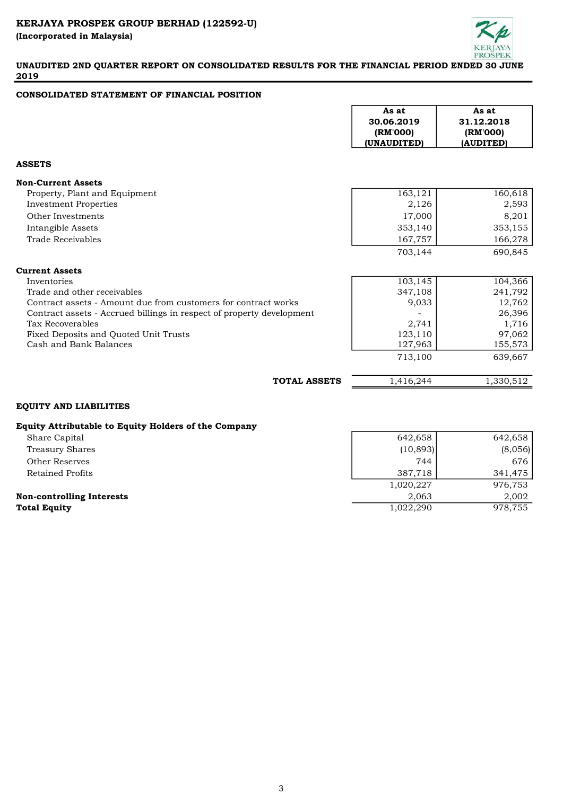

# CONSOLIDATED STATEMENT OF FINANCIAL POSITION

|                                                                       | As at<br>30.06.2019<br>(RM'000)<br>(UNAUDITED) | As at<br>31.12.2018<br>(RM'000)<br>(AUDITED) |
|-----------------------------------------------------------------------|------------------------------------------------|----------------------------------------------|
| <b>ASSETS</b>                                                         |                                                |                                              |
| <b>Non-Current Assets</b>                                             |                                                |                                              |
| Property, Plant and Equipment                                         | 163,121                                        | 160,618                                      |
| <b>Investment Properties</b>                                          | 2,126                                          | 2,593                                        |
| Other Investments                                                     | 17,000                                         | 8,201                                        |
| Intangible Assets                                                     | 353,140                                        | 353,155                                      |
| Trade Receivables                                                     | 167,757                                        | 166,278                                      |
|                                                                       | 703,144                                        | 690,845                                      |
| <b>Current Assets</b>                                                 |                                                |                                              |
| Inventories                                                           | 103, 145                                       | 104,366                                      |
| Trade and other receivables                                           | 347,108                                        | 241,792                                      |
| Contract assets - Amount due from customers for contract works        | 9,033                                          | 12,762                                       |
| Contract assets - Accrued billings in respect of property development |                                                | 26,396                                       |
| <b>Tax Recoverables</b>                                               | 2,741                                          | 1,716                                        |
| Fixed Deposits and Quoted Unit Trusts                                 | 123,110                                        | 97,062                                       |
| Cash and Bank Balances                                                | 127,963                                        | 155,573                                      |
|                                                                       | 713,100                                        | 639,667                                      |
| <b>TOTAL ASSETS</b>                                                   | 1,416,244                                      | 1,330,512                                    |

# EQUITY AND LIABILITIES

## Equity Attributable to Equity Holders of the Company

| Share Capital                    | 642,658   | 642,658 |
|----------------------------------|-----------|---------|
| Treasury Shares                  | (10,893)  | (8,056) |
| Other Reserves                   | 744       | 676     |
| Retained Profits                 | 387,718   | 341,475 |
|                                  | 1,020,227 | 976,753 |
| <b>Non-controlling Interests</b> | 2.063     | 2,002   |
| Total Equity                     | 1,022,290 | 978,755 |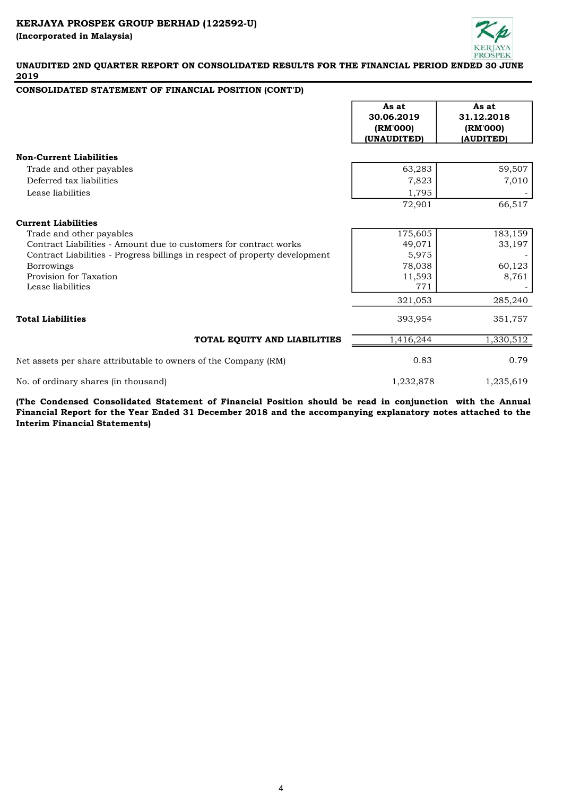

## CONSOLIDATED STATEMENT OF FINANCIAL POSITION (CONT'D)

|                                                                             | As at<br>30.06.2019<br>(RM'000)<br>(UNAUDITED) | As at<br>31.12.2018<br>(RM'000)<br>(AUDITED) |
|-----------------------------------------------------------------------------|------------------------------------------------|----------------------------------------------|
| <b>Non-Current Liabilities</b>                                              |                                                |                                              |
| Trade and other payables                                                    | 63,283                                         | 59,507                                       |
| Deferred tax liabilities                                                    | 7,823                                          | 7,010                                        |
| Lease liabilities                                                           | 1,795                                          |                                              |
|                                                                             | 72,901                                         | 66,517                                       |
| <b>Current Liabilities</b>                                                  |                                                |                                              |
| Trade and other payables                                                    | 175,605                                        | 183,159                                      |
| Contract Liabilities - Amount due to customers for contract works           | 49,071                                         | 33,197                                       |
| Contract Liabilities - Progress billings in respect of property development | 5,975                                          |                                              |
| <b>Borrowings</b>                                                           | 78,038                                         | 60,123                                       |
| Provision for Taxation                                                      | 11,593                                         | 8,761                                        |
| Lease liabilities                                                           | 771                                            |                                              |
|                                                                             | 321,053                                        | 285,240                                      |
| <b>Total Liabilities</b>                                                    | 393,954                                        | 351,757                                      |
| TOTAL EQUITY AND LIABILITIES                                                | 1,416,244                                      | 1,330,512                                    |
| Net assets per share attributable to owners of the Company (RM)             | 0.83                                           | 0.79                                         |
| No. of ordinary shares (in thousand)                                        | 1,232,878                                      | 1,235,619                                    |

(The Condensed Consolidated Statement of Financial Position should be read in conjunction with the Annual Financial Report for the Year Ended 31 December 2018 and the accompanying explanatory notes attached to the Interim Financial Statements)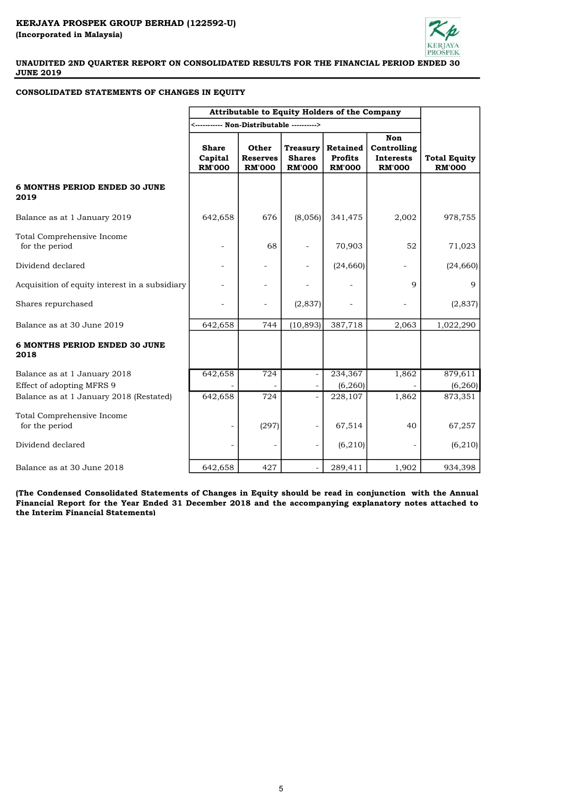

#### CONSOLIDATED STATEMENTS OF CHANGES IN EQUITY

|                                                           | Attributable to Equity Holders of the Company   |                                           |                                                   |                                                    |                                                                |                                      |
|-----------------------------------------------------------|-------------------------------------------------|-------------------------------------------|---------------------------------------------------|----------------------------------------------------|----------------------------------------------------------------|--------------------------------------|
|                                                           |                                                 |                                           |                                                   |                                                    |                                                                |                                      |
|                                                           | <b>Share</b><br><b>Capital</b><br><b>RM'000</b> | Other<br><b>Reserves</b><br><b>RM'000</b> | <b>Treasury</b><br><b>Shares</b><br><b>RM'000</b> | <b>Retained</b><br><b>Profits</b><br><b>RM'000</b> | <b>Non</b><br>Controlling<br><b>Interests</b><br><b>RM'000</b> | <b>Total Equity</b><br><b>RM'000</b> |
| 6 MONTHS PERIOD ENDED 30 JUNE<br>2019                     |                                                 |                                           |                                                   |                                                    |                                                                |                                      |
| Balance as at 1 January 2019                              | 642,658                                         | 676                                       | (8,056)                                           | 341,475                                            | 2,002                                                          | 978,755                              |
| Total Comprehensive Income<br>for the period              |                                                 | 68                                        |                                                   | 70,903                                             | 52                                                             | 71,023                               |
| Dividend declared                                         |                                                 |                                           |                                                   | (24, 660)                                          |                                                                | (24, 660)                            |
| Acquisition of equity interest in a subsidiary            |                                                 |                                           |                                                   |                                                    | 9                                                              | 9                                    |
| Shares repurchased                                        |                                                 |                                           | (2,837)                                           |                                                    |                                                                | (2,837)                              |
| Balance as at 30 June 2019                                | 642,658                                         | 744                                       | (10, 893)                                         | 387,718                                            | 2,063                                                          | 1,022,290                            |
| <b>6 MONTHS PERIOD ENDED 30 JUNE</b><br>2018              |                                                 |                                           |                                                   |                                                    |                                                                |                                      |
| Balance as at 1 January 2018<br>Effect of adopting MFRS 9 | 642,658                                         | $\overline{724}$                          |                                                   | 234,367<br>(6, 260)                                | 1,862                                                          | 879,611<br>(6, 260)                  |
| Balance as at 1 January 2018 (Restated)                   | 642,658                                         | 724                                       | $\overline{a}$                                    | 228,107                                            | 1,862                                                          | 873,351                              |
| Total Comprehensive Income<br>for the period              |                                                 | (297)                                     |                                                   | 67,514                                             | 40                                                             | 67,257                               |
| Dividend declared                                         |                                                 |                                           |                                                   | (6, 210)                                           |                                                                | (6, 210)                             |
| Balance as at 30 June 2018                                | 642,658                                         | 427                                       |                                                   | 289,411                                            | 1,902                                                          | 934,398                              |

(The Condensed Consolidated Statements of Changes in Equity should be read in conjunction with the Annual Financial Report for the Year Ended 31 December 2018 and the accompanying explanatory notes attached to the Interim Financial Statements)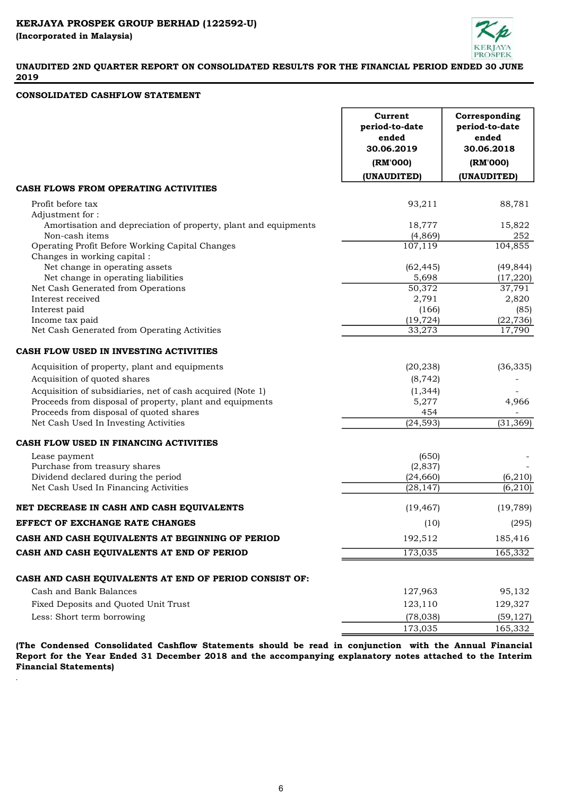

#### CONSOLIDATED CASHFLOW STATEMENT

.

|                                                                                   | Current<br>period-to-date<br>ended<br>30.06.2019<br>(RM'000) | Corresponding<br>period-to-date<br>ended<br>30.06.2018<br>(RM'000) |
|-----------------------------------------------------------------------------------|--------------------------------------------------------------|--------------------------------------------------------------------|
|                                                                                   | (UNAUDITED)                                                  | (UNAUDITED)                                                        |
| CASH FLOWS FROM OPERATING ACTIVITIES                                              |                                                              |                                                                    |
| Profit before tax                                                                 | 93,211                                                       | 88,781                                                             |
| Adjustment for:                                                                   |                                                              |                                                                    |
| Amortisation and depreciation of property, plant and equipments<br>Non-cash items | 18,777                                                       | 15,822<br>252                                                      |
| Operating Profit Before Working Capital Changes                                   | (4, 869)<br>107,119                                          | 104,855                                                            |
| Changes in working capital :                                                      |                                                              |                                                                    |
| Net change in operating assets                                                    | (62, 445)                                                    | (49, 844)                                                          |
| Net change in operating liabilities                                               | 5,698                                                        | (17, 220)                                                          |
| Net Cash Generated from Operations                                                | 50,372                                                       | 37,791                                                             |
| Interest received                                                                 | 2,791                                                        | 2,820                                                              |
| Interest paid                                                                     | (166)                                                        | (85)                                                               |
| Income tax paid<br>Net Cash Generated from Operating Activities                   | (19, 724)<br>33,273                                          | (22, 736)<br>17,790                                                |
|                                                                                   |                                                              |                                                                    |
| CASH FLOW USED IN INVESTING ACTIVITIES                                            |                                                              |                                                                    |
| Acquisition of property, plant and equipments                                     | (20, 238)                                                    | (36, 335)                                                          |
| Acquisition of quoted shares                                                      | (8, 742)                                                     |                                                                    |
| Acquisition of subsidiaries, net of cash acquired (Note 1)                        | (1, 344)                                                     |                                                                    |
| Proceeds from disposal of property, plant and equipments                          | 5,277                                                        | 4,966                                                              |
| Proceeds from disposal of quoted shares                                           | 454                                                          |                                                                    |
| Net Cash Used In Investing Activities                                             | (24, 593)                                                    | (31, 369)                                                          |
| CASH FLOW USED IN FINANCING ACTIVITIES                                            |                                                              |                                                                    |
| Lease payment                                                                     | (650)                                                        |                                                                    |
| Purchase from treasury shares                                                     | (2,837)                                                      |                                                                    |
| Dividend declared during the period                                               | (24, 660)                                                    | (6, 210)                                                           |
| Net Cash Used In Financing Activities                                             | (28, 147)                                                    | (6, 210)                                                           |
| NET DECREASE IN CASH AND CASH EQUIVALENTS                                         | (19, 467)                                                    | (19,789)                                                           |
| EFFECT OF EXCHANGE RATE CHANGES                                                   | (10)                                                         | (295)                                                              |
| CASH AND CASH EQUIVALENTS AT BEGINNING OF PERIOD                                  | 192,512                                                      | 185,416                                                            |
| CASH AND CASH EQUIVALENTS AT END OF PERIOD                                        | 173,035                                                      | 165,332                                                            |
|                                                                                   |                                                              |                                                                    |
| CASH AND CASH EQUIVALENTS AT END OF PERIOD CONSIST OF:<br>Cash and Bank Balances  | 127,963                                                      | 95,132                                                             |
|                                                                                   |                                                              |                                                                    |
| Fixed Deposits and Quoted Unit Trust                                              | 123,110                                                      | 129,327                                                            |
| Less: Short term borrowing                                                        | (78, 038)                                                    | (59, 127)                                                          |
|                                                                                   | 173,035                                                      | 165,332                                                            |

(The Condensed Consolidated Cashflow Statements should be read in conjunction with the Annual Financial Report for the Year Ended 31 December 2018 and the accompanying explanatory notes attached to the Interim Financial Statements)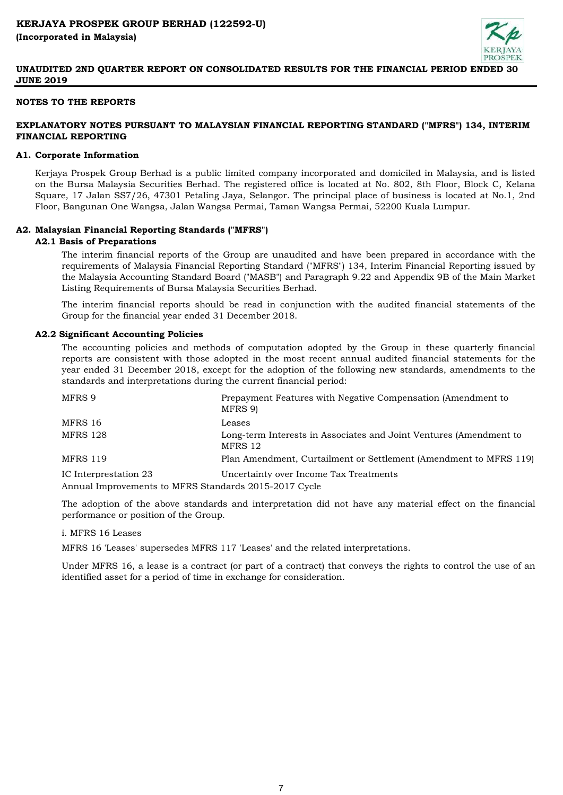

## NOTES TO THE REPORTS

# EXPLANATORY NOTES PURSUANT TO MALAYSIAN FINANCIAL REPORTING STANDARD ("MFRS") 134, INTERIM FINANCIAL REPORTING

#### A1. Corporate Information

Kerjaya Prospek Group Berhad is a public limited company incorporated and domiciled in Malaysia, and is listed on the Bursa Malaysia Securities Berhad. The registered office is located at No. 802, 8th Floor, Block C, Kelana Square, 17 Jalan SS7/26, 47301 Petaling Jaya, Selangor. The principal place of business is located at No.1, 2nd Floor, Bangunan One Wangsa, Jalan Wangsa Permai, Taman Wangsa Permai, 52200 Kuala Lumpur.

## A2. Malaysian Financial Reporting Standards ("MFRS")

#### A2.1 Basis of Preparations

The interim financial reports of the Group are unaudited and have been prepared in accordance with the requirements of Malaysia Financial Reporting Standard ("MFRS") 134, Interim Financial Reporting issued by the Malaysia Accounting Standard Board ("MASB") and Paragraph 9.22 and Appendix 9B of the Main Market Listing Requirements of Bursa Malaysia Securities Berhad.

The interim financial reports should be read in conjunction with the audited financial statements of the Group for the financial year ended 31 December 2018.

#### A2.2 Significant Accounting Policies

The accounting policies and methods of computation adopted by the Group in these quarterly financial reports are consistent with those adopted in the most recent annual audited financial statements for the year ended 31 December 2018, except for the adoption of the following new standards, amendments to the standards and interpretations during the current financial period:

| MFRS 9                                                | Prepayment Features with Negative Compensation (Amendment to<br>MFRS 9)       |
|-------------------------------------------------------|-------------------------------------------------------------------------------|
| MFRS 16                                               | Leases                                                                        |
| <b>MFRS 128</b>                                       | Long-term Interests in Associates and Joint Ventures (Amendment to<br>MFRS 12 |
| <b>MFRS 119</b>                                       | Plan Amendment, Curtailment or Settlement (Amendment to MFRS 119)             |
| IC Interprestation 23                                 | Uncertainty over Income Tax Treatments                                        |
| Annual Improvements to MFRS Standards 2015-2017 Cycle |                                                                               |

The adoption of the above standards and interpretation did not have any material effect on the financial performance or position of the Group.

#### i. MFRS 16 Leases

MFRS 16 'Leases' supersedes MFRS 117 'Leases' and the related interpretations.

Under MFRS 16, a lease is a contract (or part of a contract) that conveys the rights to control the use of an identified asset for a period of time in exchange for consideration.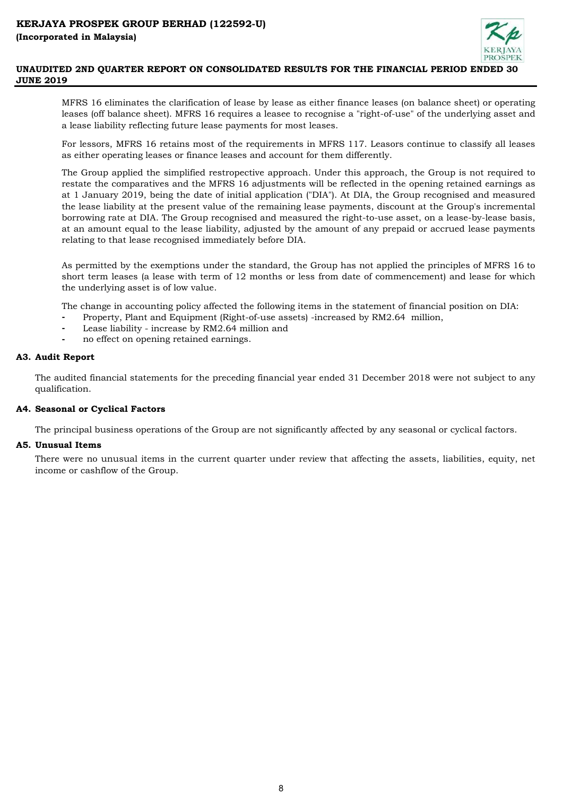

MFRS 16 eliminates the clarification of lease by lease as either finance leases (on balance sheet) or operating leases (off balance sheet). MFRS 16 requires a leasee to recognise a "right-of-use" of the underlying asset and a lease liability reflecting future lease payments for most leases.

For lessors, MFRS 16 retains most of the requirements in MFRS 117. Leasors continue to classify all leases as either operating leases or finance leases and account for them differently.

The Group applied the simplified restropective approach. Under this approach, the Group is not required to restate the comparatives and the MFRS 16 adjustments will be reflected in the opening retained earnings as at 1 January 2019, being the date of initial application ("DIA"). At DIA, the Group recognised and measured the lease liability at the present value of the remaining lease payments, discount at the Group's incremental borrowing rate at DIA. The Group recognised and measured the right-to-use asset, on a lease-by-lease basis, at an amount equal to the lease liability, adjusted by the amount of any prepaid or accrued lease payments relating to that lease recognised immediately before DIA.

As permitted by the exemptions under the standard, the Group has not applied the principles of MFRS 16 to short term leases (a lease with term of 12 months or less from date of commencement) and lease for which the underlying asset is of low value.

The change in accounting policy affected the following items in the statement of financial position on DIA:

- Property, Plant and Equipment (Right-of-use assets) -increased by RM2.64 million,
- Lease liability increase by RM2.64 million and
- no effect on opening retained earnings.

## A3. Audit Report

The audited financial statements for the preceding financial year ended 31 December 2018 were not subject to any qualification.

## A4. Seasonal or Cyclical Factors

The principal business operations of the Group are not significantly affected by any seasonal or cyclical factors.

## A5. Unusual Items

There were no unusual items in the current quarter under review that affecting the assets, liabilities, equity, net income or cashflow of the Group.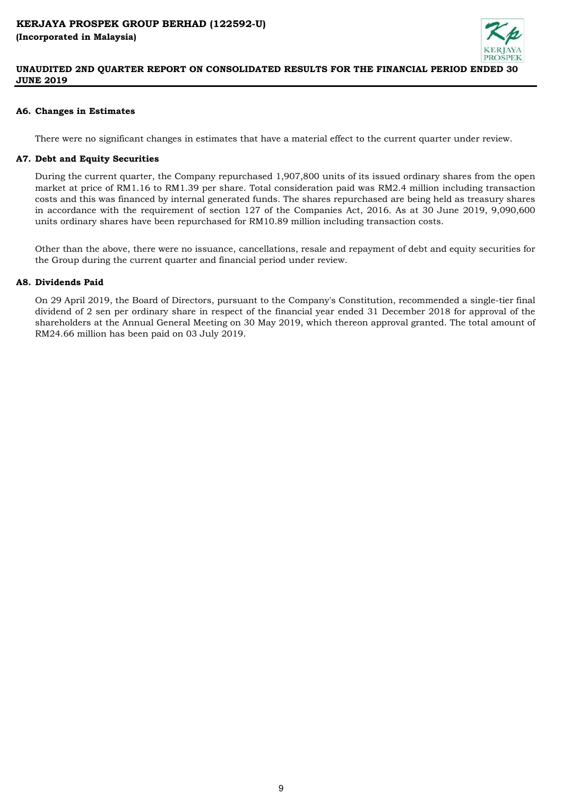

## A6. Changes in Estimates

There were no significant changes in estimates that have a material effect to the current quarter under review.

## A7. Debt and Equity Securities

During the current quarter, the Company repurchased 1,907,800 units of its issued ordinary shares from the open market at price of RM1.16 to RM1.39 per share. Total consideration paid was RM2.4 million including transaction costs and this was financed by internal generated funds. The shares repurchased are being held as treasury shares in accordance with the requirement of section 127 of the Companies Act, 2016. As at 30 June 2019, 9,090,600 units ordinary shares have been repurchased for RM10.89 million including transaction costs.

Other than the above, there were no issuance, cancellations, resale and repayment of debt and equity securities for the Group during the current quarter and financial period under review.

## A8. Dividends Paid

On 29 April 2019, the Board of Directors, pursuant to the Company's Constitution, recommended a single-tier final dividend of 2 sen per ordinary share in respect of the financial year ended 31 December 2018 for approval of the shareholders at the Annual General Meeting on 30 May 2019, which thereon approval granted. The total amount of RM24.66 million has been paid on 03 July 2019.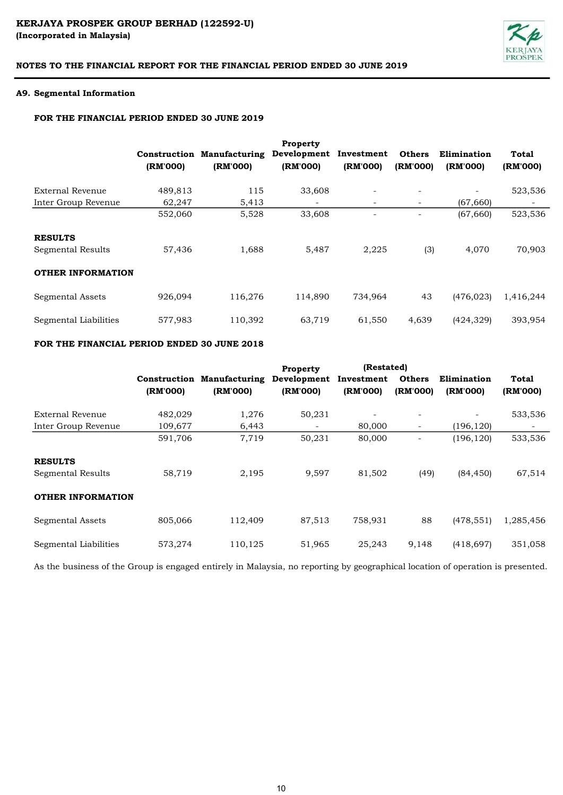# KERJAYA PROSPEK GROUP BERHAD (122592-U) (Incorporated in Malaysia)



# NOTES TO THE FINANCIAL REPORT FOR THE FINANCIAL PERIOD ENDED 30 JUNE 2019

#### A9. Segmental Information

# FOR THE FINANCIAL PERIOD ENDED 30 JUNE 2019

|                          |          |                                   | <b>Property</b> |            |                          |             |           |
|--------------------------|----------|-----------------------------------|-----------------|------------|--------------------------|-------------|-----------|
|                          |          | <b>Construction Manufacturing</b> | Development     | Investment | <b>Others</b>            | Elimination | Total     |
|                          | (RM'000) | (RM'000)                          | (RM'000)        | (RM'000)   | (RM'000)                 | (RM'000)    | (RM'000)  |
| External Revenue         | 489,813  | 115                               | 33,608          | -          | $\overline{\phantom{a}}$ |             | 523,536   |
| Inter Group Revenue      | 62,247   | 5,413                             | -               | ٠.         | $\overline{\phantom{a}}$ | (67, 660)   |           |
|                          | 552,060  | 5,528                             | 33,608          |            |                          | (67, 660)   | 523,536   |
| <b>RESULTS</b>           |          |                                   |                 |            |                          |             |           |
| Segmental Results        | 57,436   | 1,688                             | 5,487           | 2,225      | (3)                      | 4,070       | 70,903    |
| <b>OTHER INFORMATION</b> |          |                                   |                 |            |                          |             |           |
| Segmental Assets         | 926,094  | 116,276                           | 114,890         | 734,964    | 43                       | (476, 023)  | 1,416,244 |
| Segmental Liabilities    | 577,983  | 110,392                           | 63,719          | 61,550     | 4,639                    | (424, 329)  | 393,954   |

## FOR THE FINANCIAL PERIOD ENDED 30 JUNE 2018

|                          |          |                                   | <b>Property</b> | (Restated) |                          |             |           |
|--------------------------|----------|-----------------------------------|-----------------|------------|--------------------------|-------------|-----------|
|                          |          | <b>Construction Manufacturing</b> | Development     | Investment | <b>Others</b>            | Elimination | Total     |
|                          | (RM'000) | (RM'000)                          | (RM'000)        | (RM'000)   | (RM'000)                 | (RM'000)    | (RM'000)  |
| External Revenue         | 482,029  | 1,276                             | 50,231          |            |                          | ۰           | 533,536   |
| Inter Group Revenue      | 109,677  | 6,443                             | -               | 80,000     | $\overline{\phantom{a}}$ | (196, 120)  |           |
|                          | 591,706  | 7,719                             | 50,231          | 80,000     | ۰                        | (196, 120)  | 533,536   |
| <b>RESULTS</b>           |          |                                   |                 |            |                          |             |           |
| Segmental Results        | 58,719   | 2,195                             | 9,597           | 81,502     | (49)                     | (84, 450)   | 67,514    |
| <b>OTHER INFORMATION</b> |          |                                   |                 |            |                          |             |           |
| Segmental Assets         | 805,066  | 112,409                           | 87,513          | 758,931    | 88                       | (478, 551)  | 1,285,456 |
| Segmental Liabilities    | 573,274  | 110,125                           | 51,965          | 25,243     | 9,148                    | (418, 697)  | 351,058   |

As the business of the Group is engaged entirely in Malaysia, no reporting by geographical location of operation is presented.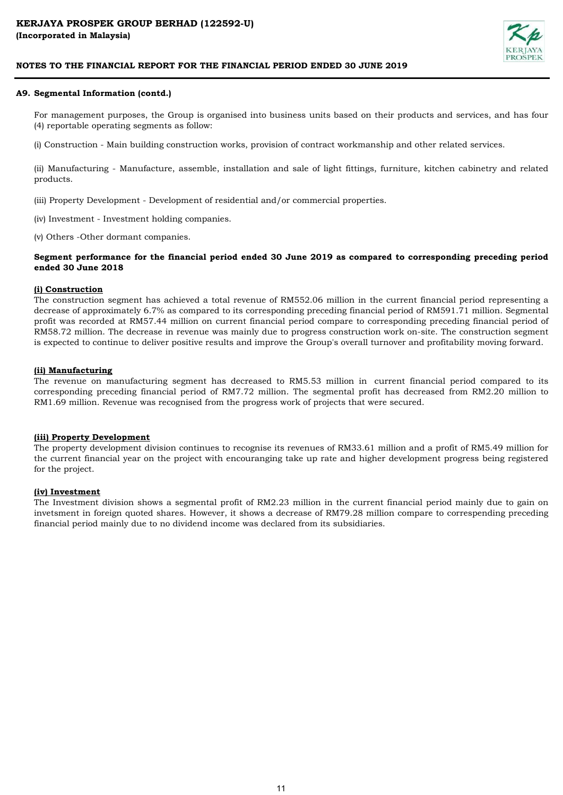

#### A9. Segmental Information (contd.)

For management purposes, the Group is organised into business units based on their products and services, and has four (4) reportable operating segments as follow:

(i) Construction - Main building construction works, provision of contract workmanship and other related services.

(ii) Manufacturing - Manufacture, assemble, installation and sale of light fittings, furniture, kitchen cabinetry and related products.

(iii) Property Development - Development of residential and/or commercial properties.

(iv) Investment - Investment holding companies.

(v) Others -Other dormant companies.

#### Segment performance for the financial period ended 30 June 2019 as compared to corresponding preceding period ended 30 June 2018

## (i) Construction

The construction segment has achieved a total revenue of RM552.06 million in the current financial period representing a decrease of approximately 6.7% as compared to its corresponding preceding financial period of RM591.71 million. Segmental profit was recorded at RM57.44 million on current financial period compare to corresponding preceding financial period of RM58.72 million. The decrease in revenue was mainly due to progress construction work on-site. The construction segment is expected to continue to deliver positive results and improve the Group's overall turnover and profitability moving forward.

#### (ii) Manufacturing

The revenue on manufacturing segment has decreased to RM5.53 million in current financial period compared to its corresponding preceding financial period of RM7.72 million. The segmental profit has decreased from RM2.20 million to RM1.69 million. Revenue was recognised from the progress work of projects that were secured.

#### (iii) Property Development

The property development division continues to recognise its revenues of RM33.61 million and a profit of RM5.49 million for the current financial year on the project with encouranging take up rate and higher development progress being registered for the project.

#### (iv) Investment

The Investment division shows a segmental profit of RM2.23 million in the current financial period mainly due to gain on invetsment in foreign quoted shares. However, it shows a decrease of RM79.28 million compare to correspending preceding financial period mainly due to no dividend income was declared from its subsidiaries.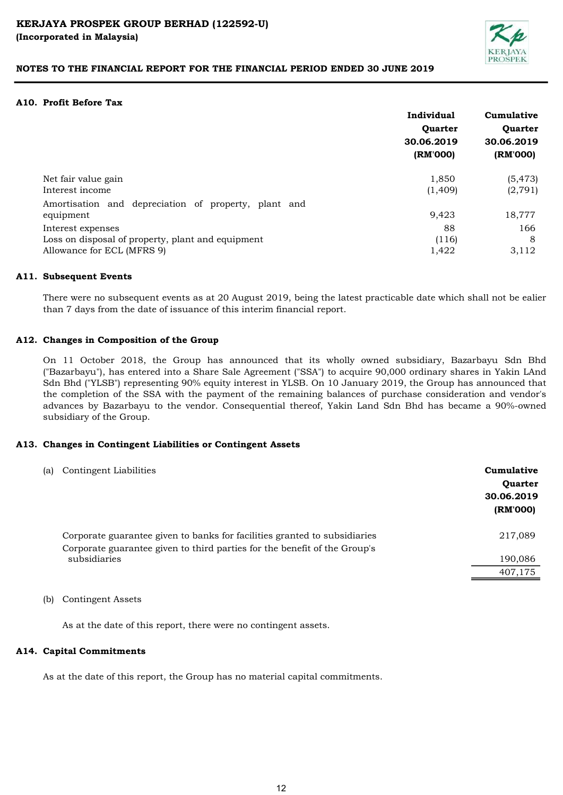

## A10. Profit Before Tax

|                                                                   | Individual<br>Quarter<br>30.06.2019<br>(RM'000) | Cumulative<br>Quarter<br>30.06.2019<br>(RM'000) |
|-------------------------------------------------------------------|-------------------------------------------------|-------------------------------------------------|
| Net fair value gain                                               | 1,850                                           | (5, 473)                                        |
| Interest income                                                   | (1,409)                                         | (2, 791)                                        |
| Amortisation and depreciation of property, plant and<br>equipment | 9,423                                           | 18,777                                          |
| Interest expenses                                                 | 88                                              | 166                                             |
| Loss on disposal of property, plant and equipment                 | (116)                                           | 8                                               |
| Allowance for ECL (MFRS 9)                                        | 1,422                                           | 3,112                                           |

#### A11. Subsequent Events

There were no subsequent events as at 20 August 2019, being the latest practicable date which shall not be ealier than 7 days from the date of issuance of this interim financial report.

## A12. Changes in Composition of the Group

On 11 October 2018, the Group has announced that its wholly owned subsidiary, Bazarbayu Sdn Bhd ("Bazarbayu"), has entered into a Share Sale Agreement ("SSA") to acquire 90,000 ordinary shares in Yakin LAnd Sdn Bhd ("YLSB") representing 90% equity interest in YLSB. On 10 January 2019, the Group has announced that the completion of the SSA with the payment of the remaining balances of purchase consideration and vendor's advances by Bazarbayu to the vendor. Consequential thereof, Yakin Land Sdn Bhd has became a 90%-owned subsidiary of the Group.

## A13. Changes in Contingent Liabilities or Contingent Assets

| (a) | Contingent Liabilities                                                                    | Cumulative<br><b>Ouarter</b><br>30.06.2019<br>(RM'000) |
|-----|-------------------------------------------------------------------------------------------|--------------------------------------------------------|
|     | Corporate guarantee given to banks for facilities granted to subsidiaries                 | 217,089                                                |
|     | Corporate guarantee given to third parties for the benefit of the Group's<br>subsidiaries | 190,086                                                |
|     |                                                                                           | 407,175                                                |

(b) Contingent Assets

As at the date of this report, there were no contingent assets.

## A14. Capital Commitments

As at the date of this report, the Group has no material capital commitments.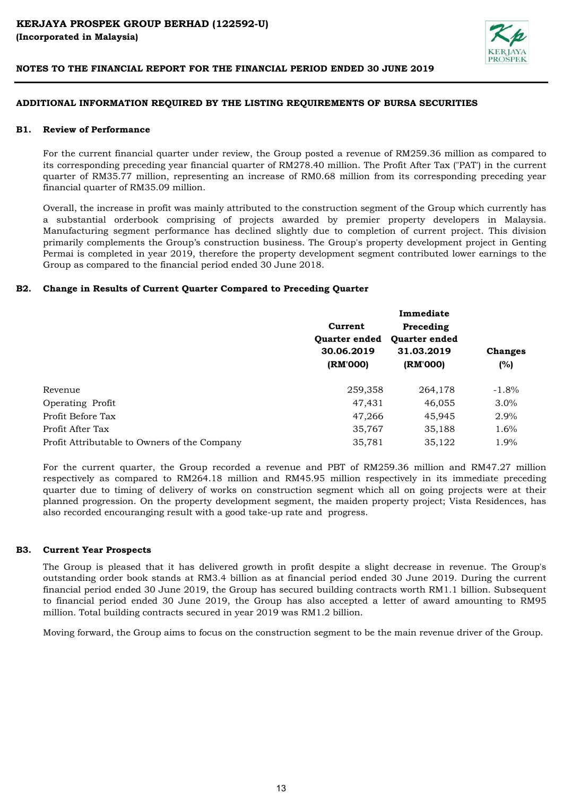

#### ADDITIONAL INFORMATION REQUIRED BY THE LISTING REQUIREMENTS OF BURSA SECURITIES

#### **B1.** Review of Performance

For the current financial quarter under review, the Group posted a revenue of RM259.36 million as compared to its corresponding preceding year financial quarter of RM278.40 million. The Profit After Tax ("PAT') in the current quarter of RM35.77 million, representing an increase of RM0.68 million from its corresponding preceding year financial quarter of RM35.09 million.

Overall, the increase in profit was mainly attributed to the construction segment of the Group which currently has a substantial orderbook comprising of projects awarded by premier property developers in Malaysia. Manufacturing segment performance has declined slightly due to completion of current project. This division primarily complements the Group's construction business. The Group's property development project in Genting Permai is completed in year 2019, therefore the property development segment contributed lower earnings to the Group as compared to the financial period ended 30 June 2018.

## B2. Change in Results of Current Quarter Compared to Preceding Quarter

|                                              |                      | Immediate            |                |  |
|----------------------------------------------|----------------------|----------------------|----------------|--|
|                                              | Current              | Preceding            |                |  |
|                                              | <b>Ouarter ended</b> | <b>Ouarter ended</b> | <b>Changes</b> |  |
|                                              | 30.06.2019           | 31.03.2019           |                |  |
|                                              | (RM'000)             | (RM'000)             | (%)            |  |
| Revenue                                      | 259,358              | 264,178              | $-1.8\%$       |  |
| Operating Profit                             | 47,431               | 46,055               | $3.0\%$        |  |
| Profit Before Tax                            | 47,266               | 45,945               | 2.9%           |  |
| Profit After Tax                             | 35,767               | 35,188               | 1.6%           |  |
| Profit Attributable to Owners of the Company | 35,781               | 35,122               | 1.9%           |  |

For the current quarter, the Group recorded a revenue and PBT of RM259.36 million and RM47.27 million respectively as compared to RM264.18 million and RM45.95 million respectively in its immediate preceding quarter due to timing of delivery of works on construction segment which all on going projects were at their planned progression. On the property development segment, the maiden property project; Vista Residences, has also recorded encouranging result with a good take-up rate and progress.

#### B3. Current Year Prospects

The Group is pleased that it has delivered growth in profit despite a slight decrease in revenue. The Group's outstanding order book stands at RM3.4 billion as at financial period ended 30 June 2019. During the current financial period ended 30 June 2019, the Group has secured building contracts worth RM1.1 billion. Subsequent to financial period ended 30 June 2019, the Group has also accepted a letter of award amounting to RM95 million. Total building contracts secured in year 2019 was RM1.2 billion.

Moving forward, the Group aims to focus on the construction segment to be the main revenue driver of the Group.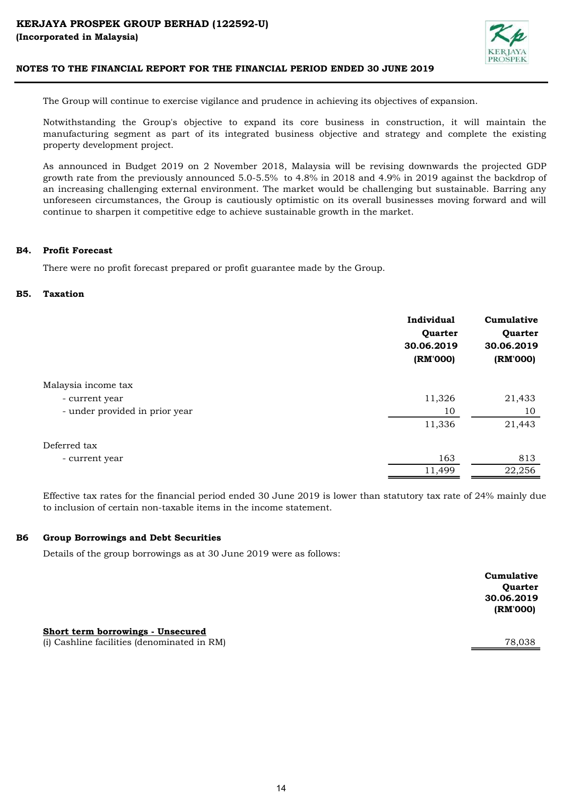

The Group will continue to exercise vigilance and prudence in achieving its objectives of expansion.

Notwithstanding the Group's objective to expand its core business in construction, it will maintain the manufacturing segment as part of its integrated business objective and strategy and complete the existing property development project.

As announced in Budget 2019 on 2 November 2018, Malaysia will be revising downwards the projected GDP growth rate from the previously announced 5.0-5.5% to 4.8% in 2018 and 4.9% in 2019 against the backdrop of an increasing challenging external environment. The market would be challenging but sustainable. Barring any unforeseen circumstances, the Group is cautiously optimistic on its overall businesses moving forward and will continue to sharpen it competitive edge to achieve sustainable growth in the market.

#### B4. Profit Forecast

There were no profit forecast prepared or profit guarantee made by the Group.

#### B5. Taxation

|                                | Individual<br>Quarter<br>30.06.2019<br>(RM'000) | Cumulative<br>Quarter<br>30.06.2019<br>(RM'000) |
|--------------------------------|-------------------------------------------------|-------------------------------------------------|
| Malaysia income tax            |                                                 |                                                 |
| - current year                 | 11,326                                          | 21,433                                          |
| - under provided in prior year | 10                                              | 10                                              |
|                                | 11,336                                          | 21,443                                          |
| Deferred tax                   |                                                 |                                                 |
| - current year                 | 163                                             | 813                                             |
|                                | 11,499                                          | 22,256                                          |

Effective tax rates for the financial period ended 30 June 2019 is lower than statutory tax rate of 24% mainly due to inclusion of certain non-taxable items in the income statement.

#### B6 Group Borrowings and Debt Securities

Details of the group borrowings as at 30 June 2019 were as follows:

| Cumulative     |
|----------------|
| <b>Ouarter</b> |
| 30.06.2019     |
| (RM'000)       |
|                |

(i) Cashline facilities (denominated in RM) 78,038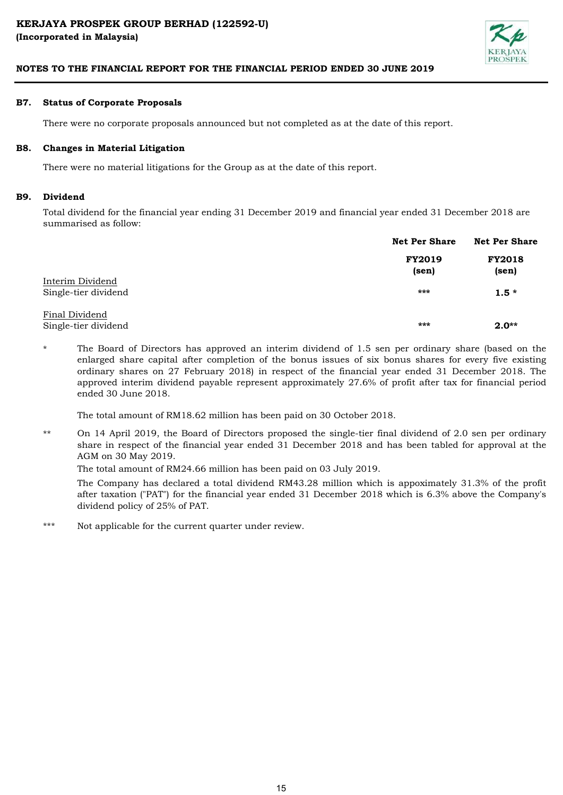

#### B7. Status of Corporate Proposals

There were no corporate proposals announced but not completed as at the date of this report.

#### B8. Changes in Material Litigation

There were no material litigations for the Group as at the date of this report.

#### B9. Dividend

Total dividend for the financial year ending 31 December 2019 and financial year ended 31 December 2018 are summarised as follow:

|                                          | <b>Net Per Share</b>   | <b>Net Per Share</b>   |  |
|------------------------------------------|------------------------|------------------------|--|
|                                          | <b>FY2019</b><br>(sen) | <b>FY2018</b><br>(sen) |  |
| Interim Dividend<br>Single-tier dividend | $***$                  | $1.5*$                 |  |
| Final Dividend<br>Single-tier dividend   | $***$                  | $2.0**$                |  |

\* The Board of Directors has approved an interim dividend of 1.5 sen per ordinary share (based on the enlarged share capital after completion of the bonus issues of six bonus shares for every five existing ordinary shares on 27 February 2018) in respect of the financial year ended 31 December 2018. The approved interim dividend payable represent approximately 27.6% of profit after tax for financial period ended 30 June 2018.

The total amount of RM18.62 million has been paid on 30 October 2018.

\*\* On 14 April 2019, the Board of Directors proposed the single-tier final dividend of 2.0 sen per ordinary share in respect of the financial year ended 31 December 2018 and has been tabled for approval at the AGM on 30 May 2019.

The total amount of RM24.66 million has been paid on 03 July 2019.

The Company has declared a total dividend RM43.28 million which is appoximately 31.3% of the profit after taxation ("PAT") for the financial year ended 31 December 2018 which is 6.3% above the Company's dividend policy of 25% of PAT.

\*\*\* Not applicable for the current quarter under review.